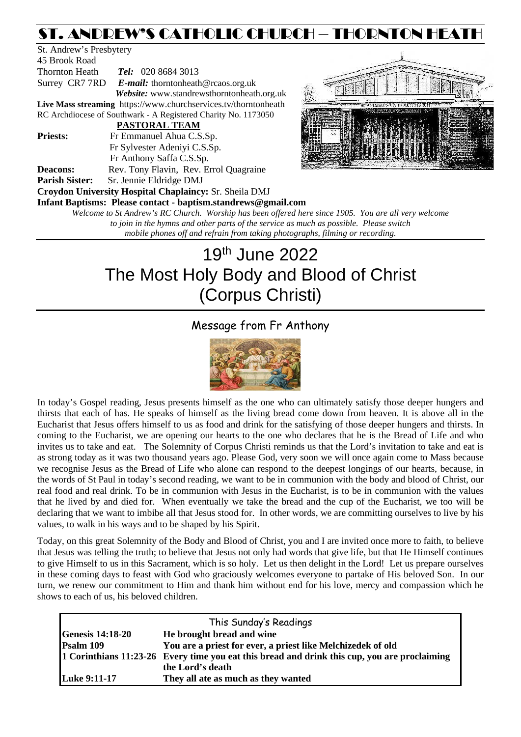# ST. ANDREW'S CATHOLIC CHURCH – THORNTON HEATH

St. Andrew's Presbytery 45 Brook Road Thornton Heath *Tel:* 020 8684 3013 Surrey CR7 7RD *E-mail:* [thorntonheath@rcaos.org.uk](mailto:thorntonheath@rcaos.org.uk) *Website:* www.standrewsthorntonheath.org.uk **Live Mass streaming**<https://www.churchservices.tv/thorntonheath> RC Archdiocese of Southwark - A Registered Charity No. 1173050  **PASTORAL TEAM Priests:** Fr Emmanuel Ahua C.S.Sp. Fr Sylvester Adeniyi C.S.Sp. Fr Anthony Saffa C.S.Sp. **Deacons:** Rev. Tony Flavin, Rev. Errol Quagraine **Parish Sister:** Sr. Jennie Eldridge DMJ **Croydon University Hospital Chaplaincy:** Sr. Sheila DMJ **Infant Baptisms: Please contact - baptism.standrews@gmail.com**



*Welcome to St Andrew's RC Church. Worship has been offered here since 1905. You are all very welcome to join in the hymns and other parts of the service as much as possible. Please switch mobile phones off and refrain from taking photographs, filming or recording.*

# 19th June 2022 The Most Holy Body and Blood of Christ (Corpus Christi)

# Message from Fr Anthony



In today's Gospel reading, Jesus presents himself as the one who can ultimately satisfy those deeper hungers and thirsts that each of has. He speaks of himself as the living bread come down from heaven. It is above all in the Eucharist that Jesus offers himself to us as food and drink for the satisfying of those deeper hungers and thirsts. In coming to the Eucharist, we are opening our hearts to the one who declares that he is the Bread of Life and who invites us to take and eat. The Solemnity of Corpus Christi reminds us that the Lord's invitation to take and eat is as strong today as it was two thousand years ago. Please God, very soon we will once again come to Mass because we recognise Jesus as the Bread of Life who alone can respond to the deepest longings of our hearts, because, in the words of St Paul in today's second reading, we want to be in communion with the body and blood of Christ, our real food and real drink. To be in communion with Jesus in the Eucharist, is to be in communion with the values that he lived by and died for. When eventually we take the bread and the cup of the Eucharist, we too will be declaring that we want to imbibe all that Jesus stood for. In other words, we are committing ourselves to live by his values, to walk in his ways and to be shaped by his Spirit.

Today, on this great Solemnity of the Body and Blood of Christ, you and I are invited once more to faith, to believe that Jesus was telling the truth; to believe that Jesus not only had words that give life, but that He Himself continues to give Himself to us in this Sacrament, which is so holy. Let us then delight in the Lord! Let us prepare ourselves in these coming days to feast with God who graciously welcomes everyone to partake of His beloved Son. In our turn, we renew our commitment to Him and thank him without end for his love, mercy and compassion which he shows to each of us, his beloved children.

| This Sunday's Readings  |                                                                                              |  |  |  |
|-------------------------|----------------------------------------------------------------------------------------------|--|--|--|
| <b>Genesis 14:18-20</b> | He brought bread and wine                                                                    |  |  |  |
| Psalm 109               | You are a priest for ever, a priest like Melchizedek of old                                  |  |  |  |
|                         | 1 Corinthians 11:23-26 Every time you eat this bread and drink this cup, you are proclaiming |  |  |  |
|                         | the Lord's death                                                                             |  |  |  |
| Luke 9:11-17            | They all ate as much as they wanted                                                          |  |  |  |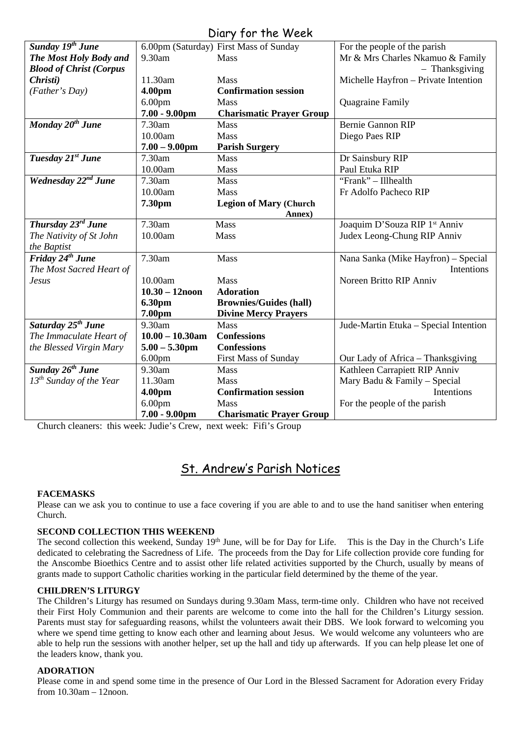| UILLY JUITTIE WEEN              |                    |                                        |                                       |  |  |
|---------------------------------|--------------------|----------------------------------------|---------------------------------------|--|--|
| Sunday 19 <sup>th</sup> June    |                    | 6.00pm (Saturday) First Mass of Sunday | For the people of the parish          |  |  |
| The Most Holy Body and          | 9.30am             | Mass                                   | Mr & Mrs Charles Nkamuo & Family      |  |  |
| <b>Blood of Christ (Corpus</b>  |                    |                                        | - Thanksgiving                        |  |  |
| Christi)                        | 11.30am            | <b>Mass</b>                            | Michelle Hayfron - Private Intention  |  |  |
| (Father's Day)                  | 4.00pm             | <b>Confirmation session</b>            |                                       |  |  |
|                                 | 6.00 <sub>pm</sub> | <b>Mass</b>                            | Quagraine Family                      |  |  |
|                                 | $7.00 - 9.00$ pm   | <b>Charismatic Prayer Group</b>        |                                       |  |  |
| Monday 20 <sup>th</sup> June    | 7.30am             | <b>Mass</b>                            | <b>Bernie Gannon RIP</b>              |  |  |
|                                 | 10.00am            | <b>Mass</b>                            | Diego Paes RIP                        |  |  |
|                                 | $7.00 - 9.00$ pm   | <b>Parish Surgery</b>                  |                                       |  |  |
| Tuesday 21st June               | 7.30am             | <b>Mass</b>                            | Dr Sainsbury RIP                      |  |  |
|                                 | 10.00am            | Mass                                   | Paul Etuka RIP                        |  |  |
| Wednesday 22 <sup>nd</sup> June | 7.30am             | Mass                                   | "Frank" - Illhealth                   |  |  |
|                                 | 10.00am            | Mass                                   | Fr Adolfo Pacheco RIP                 |  |  |
|                                 | 7.30pm             | <b>Legion of Mary (Church</b>          |                                       |  |  |
|                                 |                    | Annex)                                 |                                       |  |  |
| Thursday 23rd June              | 7.30am             | Mass                                   | Joaquim D'Souza RIP 1st Anniv         |  |  |
| The Nativity of St John         | 10.00am            | Mass                                   | Judex Leong-Chung RIP Anniv           |  |  |
| the Baptist                     |                    |                                        |                                       |  |  |
| Friday 24 <sup>th</sup> June    | 7.30am             | Mass                                   | Nana Sanka (Mike Hayfron) - Special   |  |  |
| The Most Sacred Heart of        |                    |                                        | Intentions                            |  |  |
| <b>Jesus</b>                    | 10.00am            | Mass                                   | Noreen Britto RIP Anniv               |  |  |
|                                 | $10.30 - 12$ noon  | <b>Adoration</b>                       |                                       |  |  |
|                                 | 6.30pm             | <b>Brownies/Guides (hall)</b>          |                                       |  |  |
|                                 | 7.00pm             | <b>Divine Mercy Prayers</b>            |                                       |  |  |
| Saturday 25 <sup>th</sup> June  | 9.30am             | Mass                                   | Jude-Martin Etuka - Special Intention |  |  |
| The Immaculate Heart of         | $10.00 - 10.30$ am | <b>Confessions</b>                     |                                       |  |  |
| the Blessed Virgin Mary         | $5.00 - 5.30$ pm   | <b>Confessions</b>                     |                                       |  |  |
|                                 | 6.00 <sub>pm</sub> | <b>First Mass of Sunday</b>            | Our Lady of Africa - Thanksgiving     |  |  |
| Sunday 26 <sup>th</sup> June    | 9.30am             | <b>Mass</b>                            | Kathleen Carrapiett RIP Anniv         |  |  |
| $13^{th}$ Sunday of the Year    | 11.30am            | <b>Mass</b>                            | Mary Badu & Family - Special          |  |  |
|                                 | 4.00pm             | <b>Confirmation session</b>            | Intentions                            |  |  |
|                                 | 6.00 <sub>pm</sub> | Mass                                   | For the people of the parish          |  |  |
|                                 | $7.00 - 9.00$ pm   | <b>Charismatic Prayer Group</b>        |                                       |  |  |

Diary for the Week

Church cleaners: this week: Judie's Crew, next week: Fifi's Group

# St. Andrew's Parish Notices

# **FACEMASKS**

Please can we ask you to continue to use a face covering if you are able to and to use the hand sanitiser when entering Church.

# **SECOND COLLECTION THIS WEEKEND**

The second collection this weekend, Sunday 19<sup>th</sup> June, will be for Day for Life. This is the Day in the Church's Life dedicated to celebrating the Sacredness of Life. The proceeds from the Day for Life collection provide core funding for the Anscombe Bioethics Centre and to assist other life related activities supported by the Church, usually by means of grants made to support Catholic charities working in the particular field determined by the theme of the year.

# **CHILDREN'S LITURGY**

The Children's Liturgy has resumed on Sundays during 9.30am Mass, term-time only. Children who have not received their First Holy Communion and their parents are welcome to come into the hall for the Children's Liturgy session. Parents must stay for safeguarding reasons, whilst the volunteers await their DBS. We look forward to welcoming you where we spend time getting to know each other and learning about Jesus. We would welcome any volunteers who are able to help run the sessions with another helper, set up the hall and tidy up afterwards. If you can help please let one of the leaders know, thank you.

# **ADORATION**

Please come in and spend some time in the presence of Our Lord in the Blessed Sacrament for Adoration every Friday from 10.30am – 12noon.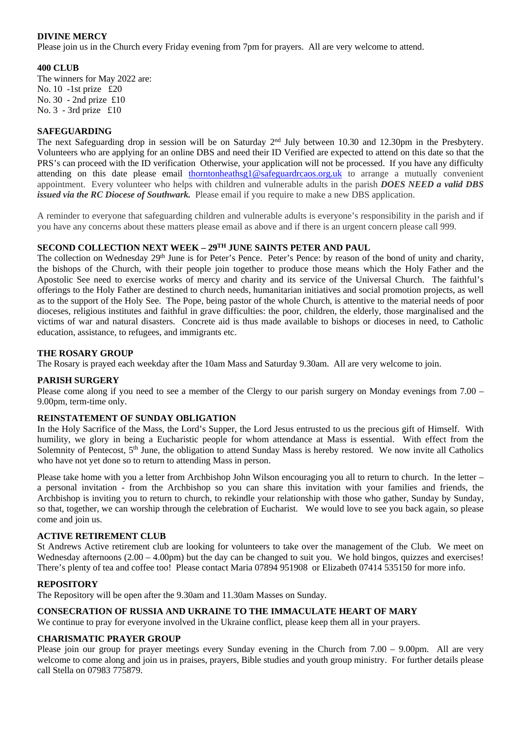# **DIVINE MERCY**

Please join us in the Church every Friday evening from 7pm for prayers. All are very welcome to attend.

# **400 CLUB**

The winners for May 2022 are: No. 10 -1st prize £20 No. 30 - 2nd prize £10 No. 3 - 3rd prize £10

### **SAFEGUARDING**

The next Safeguarding drop in session will be on Saturday 2nd July between 10.30 and 12.30pm in the Presbytery. Volunteers who are applying for an online DBS and need their ID Verified are expected to attend on this date so that the PRS's can proceed with the ID verification Otherwise, your application will not be processed. If you have any difficulty attending on this date please email [thorntonheathsg1@safeguardrcaos.org.uk](mailto:thorntonheathsg1@safeguardrcaos.org.uk) to arrange a mutually convenient appointment. Every volunteer who helps with children and vulnerable adults in the parish *DOES NEED a valid DBS issued via the RC Diocese of Southwark*. Please email if you require to make a new DBS application.

A reminder to everyone that safeguarding children and vulnerable adults is everyone's responsibility in the parish and if you have any concerns about these matters please email as above and if there is an urgent concern please call 999.

# **SECOND COLLECTION NEXT WEEK – 29TH JUNE SAINTS PETER AND PAUL**

The collection on Wednesday 29<sup>th</sup> June is for Peter's Pence. Peter's Pence: by reason of the bond of unity and charity, the bishops of the Church, with their people join together to produce those means which the Holy Father and the Apostolic See need to exercise works of mercy and charity and its service of the Universal Church. The faithful's offerings to the Holy Father are destined to church needs, humanitarian initiatives and social promotion projects, as well as to the support of the Holy See. The Pope, being pastor of the whole Church, is attentive to the material needs of poor dioceses, religious institutes and faithful in grave difficulties: the poor, children, the elderly, those marginalised and the victims of war and natural disasters. Concrete aid is thus made available to bishops or dioceses in need, to Catholic education, assistance, to refugees, and immigrants etc.

#### **THE ROSARY GROUP**

The Rosary is prayed each weekday after the 10am Mass and Saturday 9.30am. All are very welcome to join.

#### **PARISH SURGERY**

Please come along if you need to see a member of the Clergy to our parish surgery on Monday evenings from 7.00 – 9.00pm, term-time only.

# **REINSTATEMENT OF SUNDAY OBLIGATION**

In the Holy Sacrifice of the Mass, the Lord's Supper, the Lord Jesus entrusted to us the precious gift of Himself. With humility, we glory in being a Eucharistic people for whom attendance at Mass is essential. With effect from the Solemnity of Pentecost, 5<sup>th</sup> June, the obligation to attend Sunday Mass is hereby restored. We now invite all Catholics who have not yet done so to return to attending Mass in person.

Please take home with you a letter from Archbishop John Wilson encouraging you all to return to church. In the letter – a personal invitation - from the Archbishop so you can share this invitation with your families and friends, the Archbishop is inviting you to return to church, to rekindle your relationship with those who gather, Sunday by Sunday, so that, together, we can worship through the celebration of Eucharist. We would love to see you back again, so please come and join us.

# **ACTIVE RETIREMENT CLUB**

St Andrews Active retirement club are looking for volunteers to take over the management of the Club. We meet on Wednesday afternoons  $(2.00 - 4.00 \text{pm})$  but the day can be changed to suit you. We hold bingos, quizzes and exercises! There's plenty of tea and coffee too! Please contact Maria 07894 951908 or Elizabeth 07414 535150 for more info.

# **REPOSITORY**

The Repository will be open after the 9.30am and 11.30am Masses on Sunday.

#### **CONSECRATION OF RUSSIA AND UKRAINE TO THE IMMACULATE HEART OF MARY**

We continue to pray for everyone involved in the Ukraine conflict, please keep them all in your prayers.

#### **CHARISMATIC PRAYER GROUP**

Please join our group for prayer meetings every Sunday evening in the Church from 7.00 – 9.00pm. All are very welcome to come along and join us in praises, prayers, Bible studies and youth group ministry. For further details please call Stella on 07983 775879.